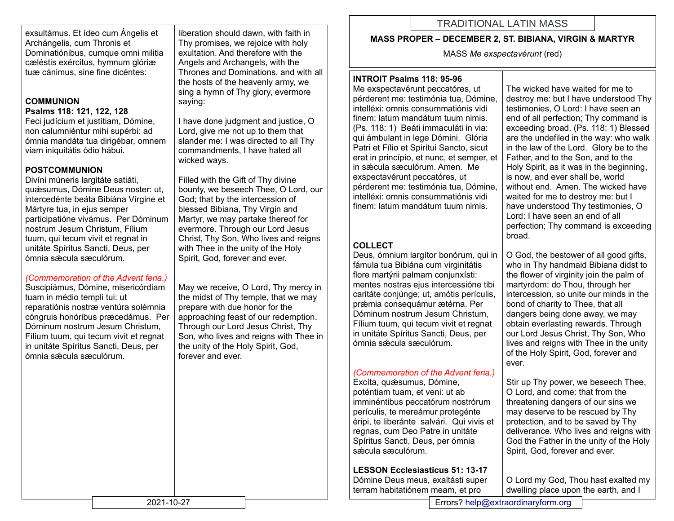exsultámus. Et ídeo cum Ángelis et Archángelis, cum Thronis et Dominatiónibus, cumque omni militia cæléstis exércitus, hymnum glóriæ tuæ cánimus, sine fine dicéntes:

### **COMMUNION Psalms 118: 121, 122, 128**

Feci judícium et justítiam, Dómine, non calumniéntur mihi supérbi: ad ómnia mandáta tua dirigébar, omnem viam iniquitátis ódio hábui.

### **POSTCOMMUNION**

Divíni múneris largitáte satiáti, quǽsumus, Dómine Deus noster: ut, intercedénte beáta Bibiána Vírgine et Mártyre tua, in ejus semper participatióne vivámus. Per Dóminum nostrum Jesum Christum, Fílium tuum, qui tecum vivit et regnat in unitáte Spíritus Sancti, Deus, per ómnia sǽcula sæculórum.

### *(Commemoration of the Advent feria.)*

Suscipiámus, Dómine, misericórdiam tuam in médio templi tui: ut reparatiónis nostræ ventúra solémnia cóngruis honóribus præcedámus. Per Dóminum nostrum Jesum Christum, Fílium tuum, qui tecum vivit et regnat in unitáte Spíritus Sancti, Deus, per ómnia sǽcula sæculórum.

liberation should dawn, with faith in Thy promises, we rejoice with holy exultation. And therefore with the Angels and Archangels, with the Thrones and Dominations, and with all the hosts of the heavenly army, we sing a hymn of Thy glory, evermore saying:

I have done judgment and justice, O Lord, give me not up to them that slander me: I was directed to all Thy commandments, I have hated all wicked ways.

Filled with the Gift of Thy divine bounty, we beseech Thee, O Lord, our God; that by the intercession of blessed Bibiana, Thy Virgin and Martyr, we may partake thereof for evermore. Through our Lord Jesus Christ, Thy Son, Who lives and reigns with Thee in the unity of the Holy Spirit, God, forever and ever.

May we receive, O Lord, Thy mercy in the midst of Thy temple, that we may prepare with due honor for the approaching feast of our redemption. Through our Lord Jesus Christ, Thy Son, who lives and reigns with Thee in the unity of the Holy Spirit, God, forever and ever.

# TRADITIONAL LATIN MASS

### **MASS PROPER – DECEMBER 2, ST. BIBIANA, VIRGIN & MARTYR**

MASS *Me exspectavérunt* (red)

### **INTROIT Psalms 118: 95-96**

Me exspectavérunt peccatóres, ut pérderent me: testimónia tua, Dómine, intelléxi: omnis consummatiónis vidi finem: latum mandátum tuum nimis. (Ps. 118: 1) Beáti immaculáti in via: qui ámbulant in lege Dómini. Glória Patri et Fílio et Spirítui Sancto, sicut erat in princípio, et nunc, et semper, et in sǽcula sæculórum. Amen. Me exspectavérunt peccatóres, ut pérderent me: testimónia tua, Dómine, intelléxi: omnis consummatiónis vidi finem: latum mandátum tuum nimis.

## **COLLECT**

Deus, ómnium largítor bonórum, qui in fámula tua Bibiána cum virginitátis flore martýrii palmam conjunxísti: mentes nostras ejus intercessióne tibi caritáte conjúnge; ut, amótis perículis, prǽmia consequámur ætérna. Per Dóminum nostrum Jesum Christum, Fílium tuum, qui tecum vivit et regnat in unitáte Spíritus Sancti, Deus, per ómnia sǽcula sæculórum.

### *(Commemoration of the Advent feria.)*

Excíta, quǽsumus, Dómine, poténtiam tuam, et veni: ut ab imminéntibus peccatórum nostrórum perículis, te mereámur protegénte éripi, te liberánte salvári. Qui vivis et regnas, cum Deo Patre in unitáte Spíritus Sancti, Deus, per ómnia sǽcula sæculórum.

### **LESSON Ecclesiasticus 51: 13-17**

Dómine Deus meus, exaltásti super terram habitatiónem meam, et pro

The wicked have waited for me to destroy me: but I have understood Thy testimonies, O Lord: I have seen an end of all perfection; Thy command is exceeding broad. (Ps. 118: 1) Blessed are the undefiled in the way: who walk in the law of the Lord. Glory be to the Father, and to the Son, and to the Holy Spirit, as it was in the beginning, is now, and ever shall be, world without end. Amen. The wicked have waited for me to destroy me: but I have understood Thy testimonies, O Lord: I have seen an end of all perfection; Thy command is exceeding broad.

O God, the bestower of all good gifts, who in Thy handmaid Bibiana didst to the flower of virginity join the palm of martyrdom: do Thou, through her intercession, so unite our minds in the bond of charity to Thee, that all dangers being done away, we may obtain everlasting rewards. Through our Lord Jesus Christ, Thy Son, Who lives and reigns with Thee in the unity of the Holy Spirit, God, forever and ever.

Stir up Thy power, we beseech Thee, O Lord, and come: that from the threatening dangers of our sins we may deserve to be rescued by Thy protection, and to be saved by Thy deliverance. Who lives and reigns with God the Father in the unity of the Holy Spirit, God, forever and ever.

O Lord my God, Thou hast exalted my dwelling place upon the earth, and I

2021-10-27 Errors? [help@extraordinaryform.org](mailto:help@extraordinaryform.org)